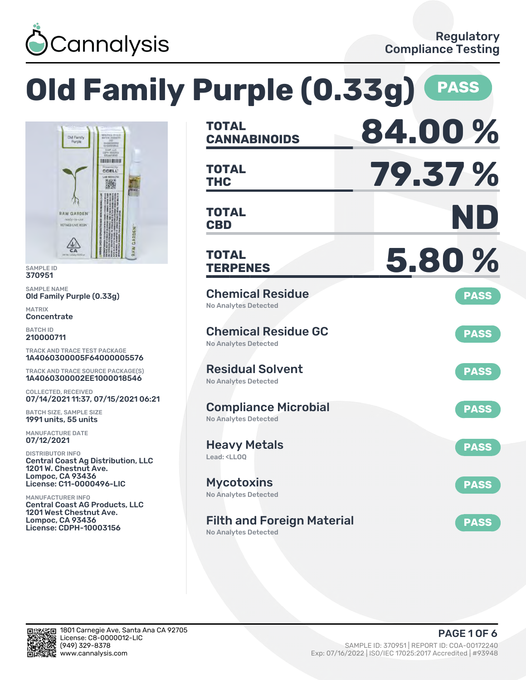

## **Old Family Purple (0.33g) PASS BA NO TOTAL** Old Family **THERE BUILD THC 79.37 % TOTAL** CCELL 激 **CBD ND TOTAL** RAW GARDEN **REFINED LIVE RESE**  $\frac{1}{2}$

SAMPLE ID 370951 SAMPLE NAME

Old Family Purple (0.33g)

MATRIX **Concentrate** 

BATCH ID 210000711

TRACK AND TRACE TEST PACKAGE 1A4060300005F64000005576

TRACK AND TRACE SOURCE PACKAGE(S) 1A4060300002EE1000018546

COLLECTED, RECEIVED 07/14/2021 11:37, 07/15/2021 06:21

BATCH SIZE, SAMPLE SIZE 1991 units, 55 units

MANUFACTURE DATE 07/12/2021

DISTRIBUTOR INFO Central Coast Ag Distribution, LLC 1201 W. Chestnut Ave. Lompoc, CA 93436 License: C11-0000496-LIC

MANUFACTURER INFO Central Coast AG Products, LLC 1201 West Chestnut Ave. Lompoc, CA 93436 License: CDPH-10003156

| <b>CANNABINOIDS</b>                                                    | T. V.V<br>70   |
|------------------------------------------------------------------------|----------------|
| <b>TOTAL</b><br><b>THC</b>                                             | <b>79.37 %</b> |
| <b>TOTAL</b><br><b>CBD</b>                                             | ND             |
| <b>TOTAL</b><br><b>TERPENES</b>                                        | 5.80%          |
| <b>Chemical Residue</b><br><b>No Analytes Detected</b>                 | <b>PASS</b>    |
| <b>Chemical Residue GC</b><br>No Analytes Detected                     | <b>PASS</b>    |
| <b>Residual Solvent</b><br><b>No Analytes Detected</b>                 | <b>PASS</b>    |
| <b>Compliance Microbial</b><br><b>No Analytes Detected</b>             | <b>PASS</b>    |
| <b>Heavy Metals</b><br>Lead: <ll00< td=""><td><b>PASS</b></td></ll00<> | <b>PASS</b>    |
| <b>Mycotoxins</b><br>No Analytes Detected                              | <b>PASS</b>    |
| <b>Filth and Foreign Material</b><br><b>No Analytes Detected</b>       | <b>PASS</b>    |

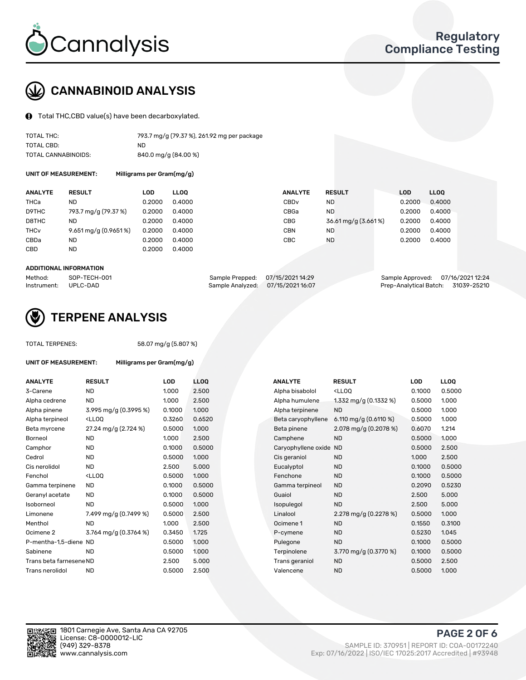

# CANNABINOID ANALYSIS

Total THC,CBD value(s) have been decarboxylated.

| TOTAL THC:          | 793.7 mg/g (79.37 %), 261.92 mg per package |
|---------------------|---------------------------------------------|
| TOTAL CBD:          | ND                                          |
| TOTAL CANNABINOIDS: | 840.0 mg/g (84.00 %)                        |

UNIT OF MEASUREMENT: Milligrams per Gram(mg/g)

| <b>ANALYTE</b>         | <b>RESULT</b>         | LOD    | <b>LLOO</b> | <b>ANALYTE</b>   | <b>RESULT</b>       | <b>LOD</b> | LLOO   |
|------------------------|-----------------------|--------|-------------|------------------|---------------------|------------|--------|
| THCa                   | ND                    | 0.2000 | 0.4000      | CBD <sub>v</sub> | ND.                 | 0.2000     | 0.4000 |
| D9THC                  | 793.7 mg/g (79.37 %)  | 0.2000 | 0.4000      | CBGa             | <b>ND</b>           | 0.2000     | 0.4000 |
| D8THC                  | <b>ND</b>             | 0.2000 | 0.4000      | <b>CBG</b>       | 36.61 mg/g (3.661%) | 0.2000     | 0.4000 |
| <b>THC<sub>v</sub></b> | 9.651 mg/g (0.9651 %) | 0.2000 | 0.4000      | CBN              | ND.                 | 0.2000     | 0.4000 |
| CBDa                   | <b>ND</b>             | 0.2000 | 0.4000      | CBC              | ND.                 | 0.2000     | 0.4000 |
| <b>CBD</b>             | ND                    | 0.2000 | 0.4000      |                  |                     |            |        |
|                        |                       |        |             |                  |                     |            |        |

### ADDITIONAL INFORMATION

| Method:              | SOP-TECH-001 | Sample Prepped: 07/15/2021 14:29  | Sample Approved: 07/16/2021 12:24  |  |
|----------------------|--------------|-----------------------------------|------------------------------------|--|
| Instrument: UPLC-DAD |              | Sample Analyzed: 07/15/2021 16:07 | Prep-Analytical Batch: 31039-25210 |  |



# TERPENE ANALYSIS

UNIT OF MEASUREMENT: Milligrams per Gram(mg/g)

| TUTAL TERPENES: |  |
|-----------------|--|
|                 |  |
|                 |  |

TOTAL TERPENES: 58.07 mg/g (5.807 %)

| <b>ANALYTE</b>          | <b>RESULT</b>                                                                                                                                      | <b>LOD</b> | <b>LLOQ</b> |  | <b>ANALYTE</b>         | <b>RESULT</b>                                       | <b>LOD</b> | <b>LLOQ</b> |
|-------------------------|----------------------------------------------------------------------------------------------------------------------------------------------------|------------|-------------|--|------------------------|-----------------------------------------------------|------------|-------------|
| 3-Carene                | <b>ND</b>                                                                                                                                          | 1.000      | 2.500       |  | Alpha bisabolol        | <ll0q< td=""><td>0.1000</td><td>0.5000</td></ll0q<> | 0.1000     | 0.5000      |
| Alpha cedrene           | ND                                                                                                                                                 | 1.000      | 2.500       |  | Alpha humulene         | 1.332 mg/g $(0.1332%)$                              | 0.5000     | 1.000       |
| Alpha pinene            | 3.995 mg/g (0.3995 %)                                                                                                                              | 0.1000     | 1.000       |  | Alpha terpinene        | <b>ND</b>                                           | 0.5000     | 1.000       |
| Alpha terpineol         | <lloq< td=""><td>0.3260</td><td>0.6520</td><td></td><td>Beta caryophyllene</td><td>6.110 mg/g (0.6110 %)</td><td>0.5000</td><td>1.000</td></lloq<> | 0.3260     | 0.6520      |  | Beta caryophyllene     | 6.110 mg/g (0.6110 %)                               | 0.5000     | 1.000       |
| Beta myrcene            | 27.24 mg/g (2.724 %)                                                                                                                               | 0.5000     | 1.000       |  | Beta pinene            | 2.078 mg/g $(0.2078%)$                              | 0.6070     | 1.214       |
| Borneol                 | <b>ND</b>                                                                                                                                          | 1.000      | 2.500       |  | Camphene               | <b>ND</b>                                           | 0.5000     | 1.000       |
| Camphor                 | <b>ND</b>                                                                                                                                          | 0.1000     | 0.5000      |  | Caryophyllene oxide ND |                                                     | 0.5000     | 2.500       |
| Cedrol                  | <b>ND</b>                                                                                                                                          | 0.5000     | 1.000       |  | Cis geraniol           | <b>ND</b>                                           | 1.000      | 2.500       |
| Cis nerolidol           | <b>ND</b>                                                                                                                                          | 2.500      | 5.000       |  | Eucalyptol             | <b>ND</b>                                           | 0.1000     | 0.5000      |
| Fenchol                 | <lloq< td=""><td>0.5000</td><td>1.000</td><td></td><td>Fenchone</td><td><b>ND</b></td><td>0.1000</td><td>0.5000</td></lloq<>                       | 0.5000     | 1.000       |  | Fenchone               | <b>ND</b>                                           | 0.1000     | 0.5000      |
| Gamma terpinene         | <b>ND</b>                                                                                                                                          | 0.1000     | 0.5000      |  | Gamma terpineol        | <b>ND</b>                                           | 0.2090     | 0.5230      |
| Geranyl acetate         | <b>ND</b>                                                                                                                                          | 0.1000     | 0.5000      |  | Guaiol                 | <b>ND</b>                                           | 2.500      | 5.000       |
| Isoborneol              | <b>ND</b>                                                                                                                                          | 0.5000     | 1.000       |  | Isopulegol             | <b>ND</b>                                           | 2.500      | 5.000       |
| Limonene                | 7.499 mg/g (0.7499 %)                                                                                                                              | 0.5000     | 2.500       |  | Linalool               | 2.278 mg/g $(0.2278%)$                              | 0.5000     | 1.000       |
| Menthol                 | <b>ND</b>                                                                                                                                          | 1.000      | 2.500       |  | Ocimene 1              | <b>ND</b>                                           | 0.1550     | 0.3100      |
| Ocimene 2               | 3.764 mg/g (0.3764 %)                                                                                                                              | 0.3450     | 1.725       |  | P-cymene               | <b>ND</b>                                           | 0.5230     | 1.045       |
| P-mentha-1,5-diene ND   |                                                                                                                                                    | 0.5000     | 1.000       |  | Pulegone               | <b>ND</b>                                           | 0.1000     | 0.5000      |
| Sabinene                | <b>ND</b>                                                                                                                                          | 0.5000     | 1.000       |  | Terpinolene            | 3.770 mg/g (0.3770 %)                               | 0.1000     | 0.5000      |
| Trans beta farnesene ND |                                                                                                                                                    | 2.500      | 5.000       |  | Trans geraniol         | <b>ND</b>                                           | 0.5000     | 2.500       |
| Trans nerolidol         | <b>ND</b>                                                                                                                                          | 0.5000     | 2.500       |  | Valencene              | <b>ND</b>                                           | 0.5000     | 1.000       |

| <b>ANALYTE</b>      | <b>RESULT</b>                                       | LOD    | LLOQ   |
|---------------------|-----------------------------------------------------|--------|--------|
| Alpha bisabolol     | <lloq< td=""><td>0.1000</td><td>0.5000</td></lloq<> | 0.1000 | 0.5000 |
| Alpha humulene      | 1.332 mg/g $(0.1332%)$                              | 0.5000 | 1.000  |
| Alpha terpinene     | <b>ND</b>                                           | 0.5000 | 1.000  |
| Beta caryophyllene  | 6.110 mg/g $(0.6110\%)$                             | 0.5000 | 1.000  |
| Beta pinene         | 2.078 mg/g (0.2078 %)                               | 0.6070 | 1.214  |
| Camphene            | <b>ND</b>                                           | 0.5000 | 1.000  |
| Caryophyllene oxide | <b>ND</b>                                           | 0.5000 | 2.500  |
| Cis geraniol        | <b>ND</b>                                           | 1.000  | 2.500  |
| Eucalyptol          | <b>ND</b>                                           | 0.1000 | 0.5000 |
| Fenchone            | <b>ND</b>                                           | 0.1000 | 0.5000 |
| Gamma terpineol     | <b>ND</b>                                           | 0.2090 | 0.5230 |
| Guaiol              | <b>ND</b>                                           | 2.500  | 5.000  |
| <b>sopulegol</b>    | <b>ND</b>                                           | 2.500  | 5.000  |
| Linalool            | 2.278 mg/g $(0.2278%)$                              | 0.5000 | 1.000  |
| Ocimene 1           | <b>ND</b>                                           | 0.1550 | 0.3100 |
| P-cymene            | <b>ND</b>                                           | 0.5230 | 1.045  |
| Pulegone            | <b>ND</b>                                           | 0.1000 | 0.5000 |
| Terpinolene         | 3.770 mg/g (0.3770 %)                               | 0.1000 | 0.5000 |
| Trans geraniol      | <b>ND</b>                                           | 0.5000 | 2.500  |
| Valencene           | <b>ND</b>                                           | 0.5000 | 1.000  |



PAGE 2 OF 6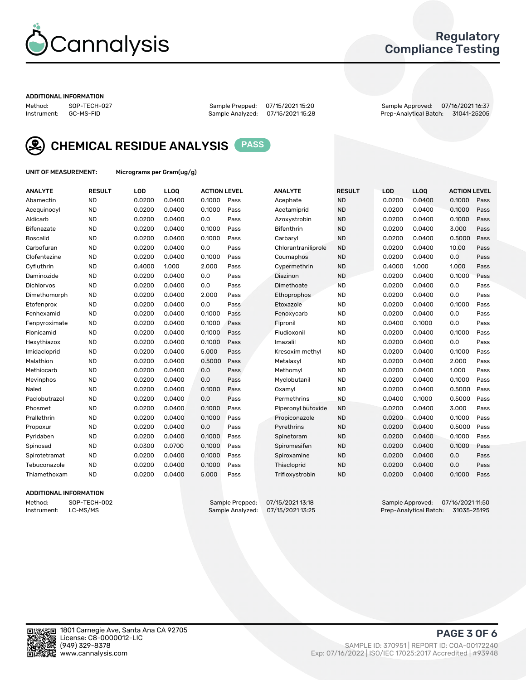

## Regulatory Compliance Testing

#### ADDITIONAL INFORMATION

Method: SOP-TECH-027 Sample Prepped: 07/15/2021 15:20 Sample Approved: 07/16/2021 16:37 Prep-Analytical Batch: 31041-25205



CHEMICAL RESIDUE ANALYSIS PASS

UNIT OF MEASUREMENT: Micrograms per Gram(ug/g)

| <b>ANALYTE</b>    | <b>RESULT</b> | LOD    | LLOQ   | <b>ACTION LEVEL</b> |      | <b>ANALYTE</b>      | <b>RESULT</b> | LOD    | <b>LLOQ</b> | <b>ACTION LEVEL</b> |      |
|-------------------|---------------|--------|--------|---------------------|------|---------------------|---------------|--------|-------------|---------------------|------|
| Abamectin         | <b>ND</b>     | 0.0200 | 0.0400 | 0.1000              | Pass | Acephate            | <b>ND</b>     | 0.0200 | 0.0400      | 0.1000              | Pass |
| Acequinocyl       | <b>ND</b>     | 0.0200 | 0.0400 | 0.1000              | Pass | Acetamiprid         | <b>ND</b>     | 0.0200 | 0.0400      | 0.1000              | Pass |
| Aldicarb          | <b>ND</b>     | 0.0200 | 0.0400 | 0.0                 | Pass | Azoxystrobin        | <b>ND</b>     | 0.0200 | 0.0400      | 0.1000              | Pass |
| Bifenazate        | <b>ND</b>     | 0.0200 | 0.0400 | 0.1000              | Pass | <b>Bifenthrin</b>   | <b>ND</b>     | 0.0200 | 0.0400      | 3.000               | Pass |
| <b>Boscalid</b>   | <b>ND</b>     | 0.0200 | 0.0400 | 0.1000              | Pass | Carbarvl            | <b>ND</b>     | 0.0200 | 0.0400      | 0.5000              | Pass |
| Carbofuran        | <b>ND</b>     | 0.0200 | 0.0400 | 0.0                 | Pass | Chlorantraniliprole | <b>ND</b>     | 0.0200 | 0.0400      | 10.00               | Pass |
| Clofentezine      | <b>ND</b>     | 0.0200 | 0.0400 | 0.1000              | Pass | Coumaphos           | <b>ND</b>     | 0.0200 | 0.0400      | 0.0                 | Pass |
| Cyfluthrin        | <b>ND</b>     | 0.4000 | 1.000  | 2.000               | Pass | Cypermethrin        | <b>ND</b>     | 0.4000 | 1.000       | 1.000               | Pass |
| Daminozide        | <b>ND</b>     | 0.0200 | 0.0400 | 0.0                 | Pass | Diazinon            | <b>ND</b>     | 0.0200 | 0.0400      | 0.1000              | Pass |
| <b>Dichlorvos</b> | <b>ND</b>     | 0.0200 | 0.0400 | 0.0                 | Pass | Dimethoate          | <b>ND</b>     | 0.0200 | 0.0400      | 0.0                 | Pass |
| Dimethomorph      | <b>ND</b>     | 0.0200 | 0.0400 | 2.000               | Pass | <b>Ethoprophos</b>  | <b>ND</b>     | 0.0200 | 0.0400      | 0.0                 | Pass |
| Etofenprox        | <b>ND</b>     | 0.0200 | 0.0400 | 0.0                 | Pass | Etoxazole           | <b>ND</b>     | 0.0200 | 0.0400      | 0.1000              | Pass |
| Fenhexamid        | <b>ND</b>     | 0.0200 | 0.0400 | 0.1000              | Pass | Fenoxycarb          | <b>ND</b>     | 0.0200 | 0.0400      | 0.0                 | Pass |
| Fenpyroximate     | <b>ND</b>     | 0.0200 | 0.0400 | 0.1000              | Pass | Fipronil            | <b>ND</b>     | 0.0400 | 0.1000      | 0.0                 | Pass |
| Flonicamid        | <b>ND</b>     | 0.0200 | 0.0400 | 0.1000              | Pass | Fludioxonil         | <b>ND</b>     | 0.0200 | 0.0400      | 0.1000              | Pass |
| Hexythiazox       | <b>ND</b>     | 0.0200 | 0.0400 | 0.1000              | Pass | Imazalil            | <b>ND</b>     | 0.0200 | 0.0400      | 0.0                 | Pass |
| Imidacloprid      | <b>ND</b>     | 0.0200 | 0.0400 | 5.000               | Pass | Kresoxim methyl     | <b>ND</b>     | 0.0200 | 0.0400      | 0.1000              | Pass |
| Malathion         | <b>ND</b>     | 0.0200 | 0.0400 | 0.5000              | Pass | Metalaxyl           | <b>ND</b>     | 0.0200 | 0.0400      | 2.000               | Pass |
| Methiocarb        | <b>ND</b>     | 0.0200 | 0.0400 | 0.0                 | Pass | Methomyl            | <b>ND</b>     | 0.0200 | 0.0400      | 1.000               | Pass |
| Mevinphos         | <b>ND</b>     | 0.0200 | 0.0400 | 0.0                 | Pass | Myclobutanil        | <b>ND</b>     | 0.0200 | 0.0400      | 0.1000              | Pass |
| Naled             | <b>ND</b>     | 0.0200 | 0.0400 | 0.1000              | Pass | Oxamyl              | <b>ND</b>     | 0.0200 | 0.0400      | 0.5000              | Pass |
| Paclobutrazol     | <b>ND</b>     | 0.0200 | 0.0400 | 0.0                 | Pass | Permethrins         | <b>ND</b>     | 0.0400 | 0.1000      | 0.5000              | Pass |
| Phosmet           | <b>ND</b>     | 0.0200 | 0.0400 | 0.1000              | Pass | Piperonyl butoxide  | <b>ND</b>     | 0.0200 | 0.0400      | 3.000               | Pass |
| Prallethrin       | <b>ND</b>     | 0.0200 | 0.0400 | 0.1000              | Pass | Propiconazole       | <b>ND</b>     | 0.0200 | 0.0400      | 0.1000              | Pass |
| Propoxur          | <b>ND</b>     | 0.0200 | 0.0400 | 0.0                 | Pass | Pyrethrins          | <b>ND</b>     | 0.0200 | 0.0400      | 0.5000              | Pass |
| Pyridaben         | <b>ND</b>     | 0.0200 | 0.0400 | 0.1000              | Pass | Spinetoram          | <b>ND</b>     | 0.0200 | 0.0400      | 0.1000              | Pass |
| Spinosad          | <b>ND</b>     | 0.0300 | 0.0700 | 0.1000              | Pass | Spiromesifen        | <b>ND</b>     | 0.0200 | 0.0400      | 0.1000              | Pass |
| Spirotetramat     | <b>ND</b>     | 0.0200 | 0.0400 | 0.1000              | Pass | Spiroxamine         | <b>ND</b>     | 0.0200 | 0.0400      | 0.0                 | Pass |
| Tebuconazole      | <b>ND</b>     | 0.0200 | 0.0400 | 0.1000              | Pass | Thiacloprid         | <b>ND</b>     | 0.0200 | 0.0400      | 0.0                 | Pass |
| Thiamethoxam      | <b>ND</b>     | 0.0200 | 0.0400 | 5.000               | Pass | Trifloxystrobin     | <b>ND</b>     | 0.0200 | 0.0400      | 0.1000              | Pass |

## ADDITIONAL INFORMATION

Method: SOP-TECH-002 Sample Prepped: 07/15/2021 13:18 Sample Approved: 07/16/2021 11:50<br>Instrument: LC-MS/MS Sample Analyzed: 07/15/2021 13:25 Prep-Analytical Batch: 31035-25195 Prep-Analytical Batch: 31035-25195

PAGE 3 OF 6

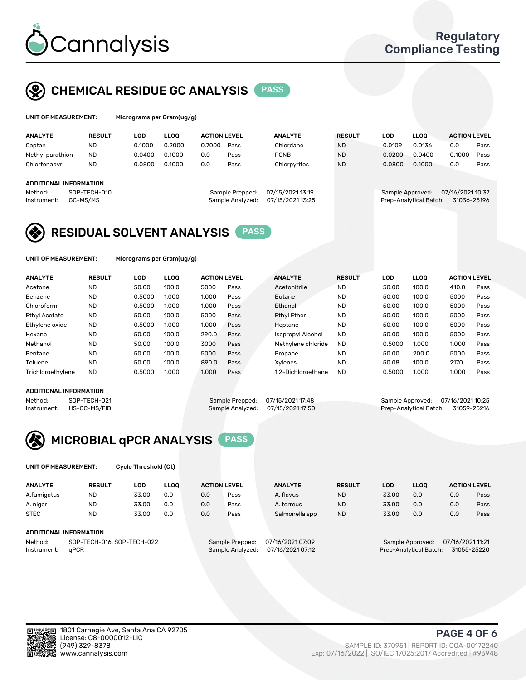

# CHEMICAL RESIDUE GC ANALYSIS PASS

| Microgra |
|----------|
|          |

ms per Gram(ug/g)

| <b>ANALYTE</b>                | <b>RESULT</b> | LOD    | <b>LLOO</b> | <b>ACTION LEVEL</b> |                 | <b>ANALYTE</b>   | <b>RESULT</b> | LOD    | <b>LLOO</b>      | <b>ACTION LEVEL</b> |      |
|-------------------------------|---------------|--------|-------------|---------------------|-----------------|------------------|---------------|--------|------------------|---------------------|------|
| Captan                        | <b>ND</b>     | 0.1000 | 0.2000      | 0.7000              | Pass            | Chlordane        | <b>ND</b>     | 0.0109 | 0.0136           | 0.0                 | Pass |
| Methyl parathion              | <b>ND</b>     | 0.0400 | 0.1000      | 0.0                 | Pass            | <b>PCNB</b>      | <b>ND</b>     | 0.0200 | 0.0400           | 0.1000              | Pass |
| Chlorfenapyr                  | <b>ND</b>     | 0.0800 | 0.1000      | 0.0                 | Pass            | Chlorpyrifos     | <b>ND</b>     | 0.0800 | 0.1000           | 0.0                 | Pass |
| <b>ADDITIONAL INFORMATION</b> |               |        |             |                     |                 |                  |               |        |                  |                     |      |
| Method:                       | SOP-TECH-010  |        |             |                     | Sample Prepped: | 07/15/2021 13:19 |               |        | Sample Approved: | 07/16/2021 10:37    |      |

## ADDI<sup>-</sup>

| repped: | 07/15/2021 13:19 |  |
|---------|------------------|--|
| alyzed: | 07/15/2021 13:25 |  |
|         |                  |  |

## Instrument: GC-MS/MS Sample Analyzed: 07/15/2021 13:25 Prep-Analytical Batch: 31036-25196



UNIT OF MEASUREMENT: Micrograms per Gram(ug/g)

| <b>ANALYTE</b>    | <b>RESULT</b> | LOD    | <b>LLOO</b> | <b>ACTION LEVEL</b> |      | <b>ANALYTE</b>           | <b>RESULT</b> | LOD    | <b>LLOO</b> | <b>ACTION LEVEL</b> |      |
|-------------------|---------------|--------|-------------|---------------------|------|--------------------------|---------------|--------|-------------|---------------------|------|
| Acetone           | <b>ND</b>     | 50.00  | 100.0       | 5000                | Pass | Acetonitrile             | <b>ND</b>     | 50.00  | 100.0       | 410.0               | Pass |
| Benzene           | <b>ND</b>     | 0.5000 | 1.000       | 1.000               | Pass | <b>Butane</b>            | <b>ND</b>     | 50.00  | 100.0       | 5000                | Pass |
| Chloroform        | <b>ND</b>     | 0.5000 | 1.000       | 1.000               | Pass | Ethanol                  | <b>ND</b>     | 50.00  | 100.0       | 5000                | Pass |
| Ethyl Acetate     | <b>ND</b>     | 50.00  | 100.0       | 5000                | Pass | <b>Ethyl Ether</b>       | <b>ND</b>     | 50.00  | 100.0       | 5000                | Pass |
| Ethylene oxide    | <b>ND</b>     | 0.5000 | 1.000       | 1.000               | Pass | Heptane                  | <b>ND</b>     | 50.00  | 100.0       | 5000                | Pass |
| Hexane            | <b>ND</b>     | 50.00  | 100.0       | 290.0               | Pass | <b>Isopropyl Alcohol</b> | <b>ND</b>     | 50.00  | 100.0       | 5000                | Pass |
| Methanol          | <b>ND</b>     | 50.00  | 100.0       | 3000                | Pass | Methylene chloride       | <b>ND</b>     | 0.5000 | 1.000       | 1.000               | Pass |
| Pentane           | <b>ND</b>     | 50.00  | 100.0       | 5000                | Pass | Propane                  | <b>ND</b>     | 50.00  | 200.0       | 5000                | Pass |
| Toluene           | <b>ND</b>     | 50.00  | 100.0       | 890.0               | Pass | Xvlenes                  | <b>ND</b>     | 50.08  | 100.0       | 2170                | Pass |
| Trichloroethylene | <b>ND</b>     | 0.5000 | 1.000       | 1.000               | Pass | 1.2-Dichloroethane       | <b>ND</b>     | 0.5000 | 1.000       | 1.000               | Pass |

### ADDITIONAL INFORMATION

Method: SOP-TECH-021 Sample Prepped: 07/15/2021 17:48 Sample Approved: 07/16/2021 10:25<br>Instrument: HS-GC-MS/FID Sample Analyzed: 07/15/2021 17:50 Prep-Analytical Batch: 31059-25216 Prep-Analytical Batch: 31059-25216



UNIT OF MEASUREMENT: Cycle Threshold (Ct)

| <b>ANALYTE</b> | <b>RESULT</b>              | LOD   | <b>LLOO</b> | <b>ACTION LEVEL</b> |                 | <b>ANALYTE</b>   | <b>RESULT</b> | LOD   | <b>LLOO</b>      | <b>ACTION LEVEL</b> |      |
|----------------|----------------------------|-------|-------------|---------------------|-----------------|------------------|---------------|-------|------------------|---------------------|------|
| A.fumigatus    | <b>ND</b>                  | 33.00 | 0.0         | 0.0                 | Pass            | A. flavus        | <b>ND</b>     | 33.00 | 0.0              | 0.0                 | Pass |
| A. niger       | <b>ND</b>                  | 33.00 | 0.0         | 0.0                 | Pass            | A. terreus       | <b>ND</b>     | 33.00 | 0.0              | 0.0                 | Pass |
| <b>STEC</b>    | <b>ND</b>                  | 33.00 | 0.0         | 0.0                 | Pass            | Salmonella spp   | <b>ND</b>     | 33.00 | 0.0              | 0.0                 | Pass |
|                | ADDITIONAL INFORMATION     |       |             |                     |                 |                  |               |       |                  |                     |      |
| Method:        | SOP-TECH-016, SOP-TECH-022 |       |             |                     | Sample Prepped: | 07/16/2021 07:09 |               |       | Sample Approved: | 07/16/2021 11:21    |      |

Instrument: qPCR Sample Analyzed: 07/16/2021 07:12 Prep-Analytical Batch: 31055-25220



(949) 329-8378 SAMPLE ID: 370951 | REPORT ID: COA-00172240 Exp: 07/16/2022 | ISO/IEC 17025:2017 Accredited | #93948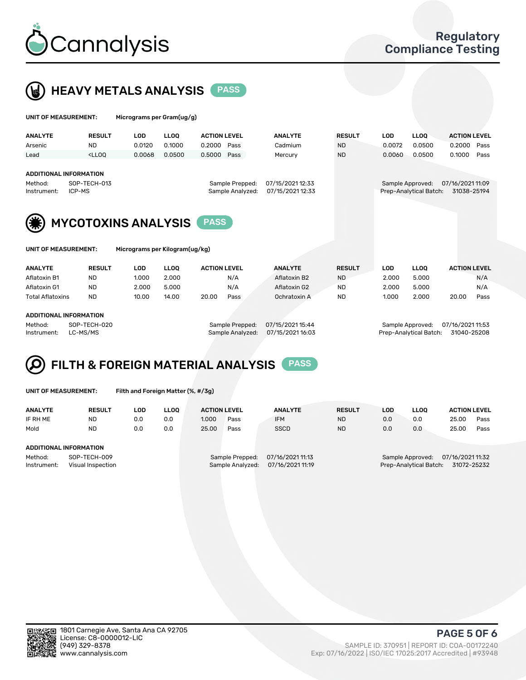

UNIT OF MEASUREMENT: Micrograms per Gram(ug/g)



| <b>ANALYTE</b>                                                                    | <b>RESULT</b>                                                                                                                                                           | <b>LOD</b> | <b>LLOO</b> | <b>ACTION LEVEL</b> |                                     | <b>ANALYTE</b>                       | <b>RESULT</b> | <b>LOD</b> | <b>LLOO</b>                                | <b>ACTION LEVEL</b>             |
|-----------------------------------------------------------------------------------|-------------------------------------------------------------------------------------------------------------------------------------------------------------------------|------------|-------------|---------------------|-------------------------------------|--------------------------------------|---------------|------------|--------------------------------------------|---------------------------------|
| Arsenic                                                                           | <b>ND</b>                                                                                                                                                               | 0.0120     | 0.1000      | 0.2000              | Pass                                | Cadmium                              | <b>ND</b>     | 0.0072     | 0.0500                                     | 0.2000<br>Pass                  |
| Lead                                                                              | <lloq< td=""><td>0.0068</td><td>0.0500</td><td>0.5000</td><td>Pass</td><td>Mercury</td><td><b>ND</b></td><td>0.0060</td><td>0.0500</td><td>0.1000<br/>Pass</td></lloq<> | 0.0068     | 0.0500      | 0.5000              | Pass                                | Mercury                              | <b>ND</b>     | 0.0060     | 0.0500                                     | 0.1000<br>Pass                  |
| <b>ADDITIONAL INFORMATION</b><br>SOP-TECH-013<br>Method:<br>ICP-MS<br>Instrument: |                                                                                                                                                                         |            |             |                     | Sample Prepped:<br>Sample Analyzed: | 07/15/2021 12:33<br>07/15/2021 12:33 |               |            | Sample Approved:<br>Prep-Analytical Batch: | 07/16/2021 11:09<br>31038-25194 |
|                                                                                   | <b>MYCOTOXINS ANALYSIS</b>                                                                                                                                              |            |             |                     |                                     |                                      |               |            |                                            |                                 |
| Micrograms per Kilogram(ug/kg)<br>UNIT OF MEASUREMENT:                            |                                                                                                                                                                         |            |             |                     |                                     |                                      |               |            |                                            |                                 |
| <b>ANALYTE</b>                                                                    | <b>RESULT</b>                                                                                                                                                           | <b>LOD</b> | <b>LLOO</b> | <b>ACTION LEVEL</b> |                                     | <b>ANALYTE</b>                       | <b>RESULT</b> | <b>LOD</b> | <b>LLOO</b>                                | <b>ACTION LEVEL</b>             |

| Aflatoxin B1            | <b>ND</b>              | 1.000 | 2.000 |       | N/A             | Aflatoxin B2     | <b>ND</b> | 2.000 | 5.000            |                  | N/A  |
|-------------------------|------------------------|-------|-------|-------|-----------------|------------------|-----------|-------|------------------|------------------|------|
| Aflatoxin G1            | <b>ND</b>              | 2.000 | 5.000 |       | N/A             | Aflatoxin G2     | <b>ND</b> | 2.000 | 5.000            |                  | N/A  |
| <b>Total Aflatoxins</b> | <b>ND</b>              | 10.00 | 14.00 | 20.00 | Pass            | Ochratoxin A     | <b>ND</b> | 1.000 | 2.000            | 20.00            | Pass |
|                         |                        |       |       |       |                 |                  |           |       |                  |                  |      |
|                         | ADDITIONAL INFORMATION |       |       |       |                 |                  |           |       |                  |                  |      |
| Method:                 | SOP-TECH-020           |       |       |       | Sample Prepped: | 07/15/2021 15:44 |           |       | Sample Approved: | 07/16/2021 11:53 |      |

Instrument: LC-MS/MS Sample Analyzed: 07/15/2021 16:03 Prep-Analytical Batch: 31040-25208

### FILTH & FOREIGN MATERIAL ANALYSIS PASS Q

UNIT OF MEASUREMENT: Filth and Foreign Matter (%, #/3g)

| <b>ANALYTE</b>                                              | <b>RESULT</b> | LOD | <b>LLOO</b> | <b>ACTION LEVEL</b> |                                     | <b>ANALYTE</b>                       | <b>RESULT</b>                                                                 | LOD | LLOO | <b>ACTION LEVEL</b> |      |
|-------------------------------------------------------------|---------------|-----|-------------|---------------------|-------------------------------------|--------------------------------------|-------------------------------------------------------------------------------|-----|------|---------------------|------|
| IF RH ME                                                    | <b>ND</b>     | 0.0 | 0.0         | 1.000               | Pass                                | <b>IFM</b>                           | <b>ND</b>                                                                     | 0.0 | 0.0  | 25.00               | Pass |
| Mold                                                        | <b>ND</b>     | 0.0 | 0.0         | 25.00               | Pass                                | <b>SSCD</b>                          | <b>ND</b>                                                                     | 0.0 | 0.0  | 25.00               | Pass |
| <b>ADDITIONAL INFORMATION</b>                               |               |     |             |                     |                                     |                                      |                                                                               |     |      |                     |      |
| Method:<br>SOP-TECH-009<br>Instrument:<br>Visual Inspection |               |     |             |                     | Sample Prepped:<br>Sample Analyzed: | 07/16/2021 11:13<br>07/16/2021 11:19 | 07/16/2021 11:32<br>Sample Approved:<br>Prep-Analytical Batch:<br>31072-25232 |     |      |                     |      |



PAGE 5 OF 6